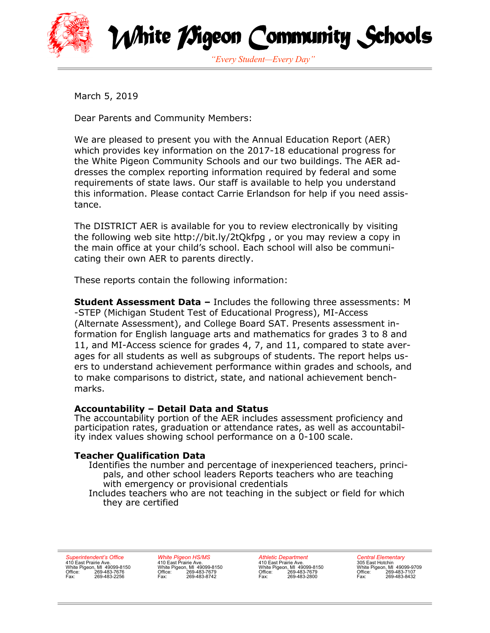

White *TS*igeon Community Schools *"Every Student—Every Day"*

March 5, 2019

Dear Parents and Community Members:

We are pleased to present you with the Annual Education Report (AER) which provides key information on the 2017-18 educational progress for the White Pigeon Community Schools and our two buildings. The AER addresses the complex reporting information required by federal and some requirements of state laws. Our staff is available to help you understand this information. Please contact Carrie Erlandson for help if you need assistance.

The DISTRICT AER is available for you to review electronically by visiting the following web site http://bit.ly/2tQkfpg , or you may review a copy in the main office at your child's school. Each school will also be communicating their own AER to parents directly.

These reports contain the following information:

**Student Assessment Data –** Includes the following three assessments: M -STEP (Michigan Student Test of Educational Progress), MI-Access (Alternate Assessment), and College Board SAT. Presents assessment information for English language arts and mathematics for grades 3 to 8 and 11, and MI-Access science for grades 4, 7, and 11, compared to state averages for all students as well as subgroups of students. The report helps users to understand achievement performance within grades and schools, and to make comparisons to district, state, and national achievement benchmarks.

## **Accountability – Detail Data and Status**

The accountability portion of the AER includes assessment proficiency and participation rates, graduation or attendance rates, as well as accountability index values showing school performance on a 0-100 scale.

## **Teacher Qualification Data**

Identifies the number and percentage of inexperienced teachers, principals, and other school leaders Reports teachers who are teaching with emergency or provisional credentials

Includes teachers who are not teaching in the subject or field for which they are certified

*Superintendent's Office* 410 East Prairie Ave. White Pigeon, MI 49099-8150 Office: 269-483-7676 Fax: 269-483-2256 *White Pigeon HS/MS* 410 East Prairie Ave. White Pigeon, MI 49099-8150 Office: 269-483-7679 Fax: 269-483-8742

*Athletic Department* 410 East Prairie Ave. White Pigeon, MI 49099-8150 Office: 269-483-7679 Fax: 269-483-2800

*Central Elementary*<br>305 East Hotchin<br>White Pigeon, MI 49099-9709<br>Office: 269-483-7107<br>Fax: 269-483-8432